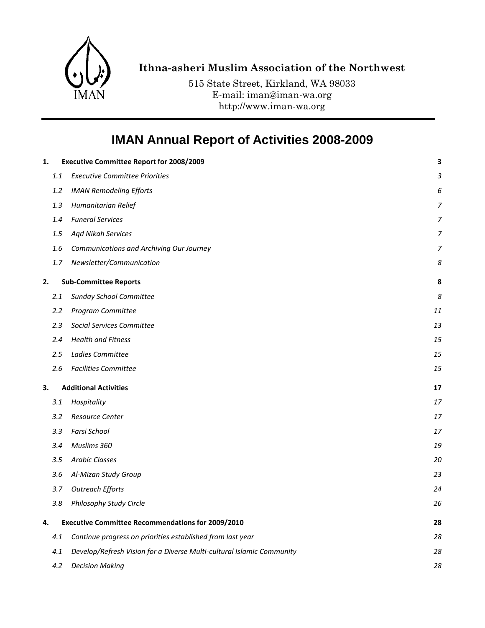

## **Ithna-asheri Muslim Association of the Northwest**

515 State Street, Kirkland, WA 98033 E-mail: iman@iman-wa.org http://www.iman-wa.org

# **IMAN Annual Report of Activities 2008-2009**

| 1. |     | <b>Executive Committee Report for 2008/2009</b>                       | 3  |
|----|-----|-----------------------------------------------------------------------|----|
|    | 1.1 | <b>Executive Committee Priorities</b>                                 | 3  |
|    | 1.2 | <b>IMAN Remodeling Efforts</b>                                        | 6  |
|    | 1.3 | Humanitarian Relief                                                   | 7  |
|    | 1.4 | <b>Funeral Services</b>                                               | 7  |
|    | 1.5 | <b>Aqd Nikah Services</b>                                             | 7  |
|    | 1.6 | Communications and Archiving Our Journey                              | 7  |
|    | 1.7 | Newsletter/Communication                                              | 8  |
| 2. |     | <b>Sub-Committee Reports</b>                                          | 8  |
|    | 2.1 | Sunday School Committee                                               | 8  |
|    | 2.2 | Program Committee                                                     | 11 |
|    | 2.3 | <b>Social Services Committee</b>                                      | 13 |
|    | 2.4 | <b>Health and Fitness</b>                                             | 15 |
|    | 2.5 | Ladies Committee                                                      | 15 |
|    | 2.6 | <b>Facilities Committee</b>                                           | 15 |
| 3. |     | <b>Additional Activities</b>                                          | 17 |
|    | 3.1 | Hospitality                                                           | 17 |
|    | 3.2 | Resource Center                                                       | 17 |
|    | 3.3 | Farsi School                                                          | 17 |
|    | 3.4 | Muslims 360                                                           | 19 |
|    | 3.5 | <b>Arabic Classes</b>                                                 | 20 |
|    | 3.6 | Al-Mizan Study Group                                                  | 23 |
|    | 3.7 | <b>Outreach Efforts</b>                                               | 24 |
|    | 3.8 | Philosophy Study Circle                                               | 26 |
| 4. |     | <b>Executive Committee Recommendations for 2009/2010</b>              | 28 |
|    | 4.1 | Continue progress on priorities established from last year            | 28 |
|    | 4.1 | Develop/Refresh Vision for a Diverse Multi-cultural Islamic Community | 28 |
|    | 4.2 | <b>Decision Making</b>                                                | 28 |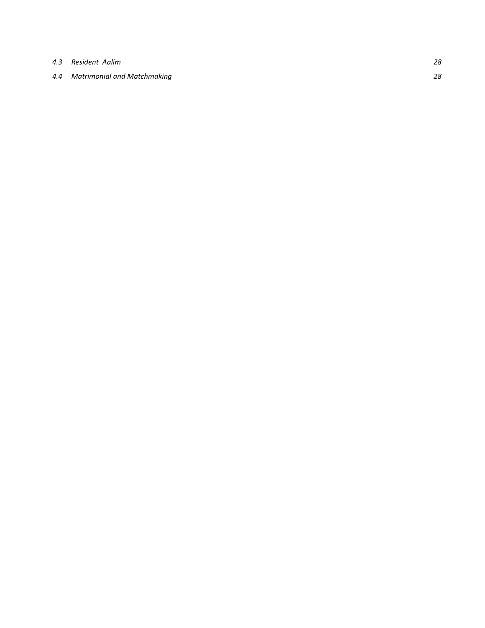*4.3 [Resident Aalim](#page-27-4) 28*

#### *4.4 [Matrimonial and Matchmaking](#page-27-5) 28*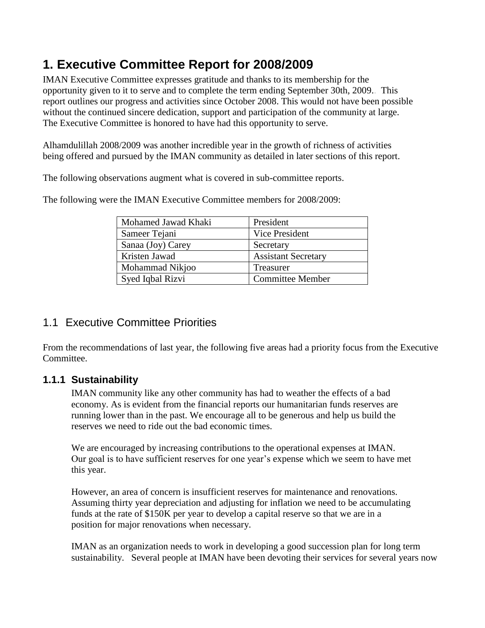# <span id="page-2-0"></span>**1. Executive Committee Report for 2008/2009**

IMAN Executive Committee expresses gratitude and thanks to its membership for the opportunity given to it to serve and to complete the term ending September 30th, 2009.. This report outlines our progress and activities since October 2008. This would not have been possible without the continued sincere dedication, support and participation of the community at large. The Executive Committee is honored to have had this opportunity to serve.

Alhamdulillah 2008/2009 was another incredible year in the growth of richness of activities being offered and pursued by the IMAN community as detailed in later sections of this report.

The following observations augment what is covered in sub-committee reports.

| Mohamed Jawad Khaki | President                  |
|---------------------|----------------------------|
| Sameer Tejani       | Vice President             |
| Sanaa (Joy) Carey   | Secretary                  |
| Kristen Jawad       | <b>Assistant Secretary</b> |
| Mohammad Nikjoo     | <b>Treasurer</b>           |
| Syed Iqbal Rizvi    | <b>Committee Member</b>    |

The following were the IMAN Executive Committee members for 2008/2009:

# <span id="page-2-1"></span>1.1 Executive Committee Priorities

From the recommendations of last year, the following five areas had a priority focus from the Executive Committee.

## **1.1.1 Sustainability**

IMAN community like any other community has had to weather the effects of a bad economy. As is evident from the financial reports our humanitarian funds reserves are running lower than in the past. We encourage all to be generous and help us build the reserves we need to ride out the bad economic times.

We are encouraged by increasing contributions to the operational expenses at IMAN. Our goal is to have sufficient reserves for one year"s expense which we seem to have met this year.

However, an area of concern is insufficient reserves for maintenance and renovations. Assuming thirty year depreciation and adjusting for inflation we need to be accumulating funds at the rate of \$150K per year to develop a capital reserve so that we are in a position for major renovations when necessary.

IMAN as an organization needs to work in developing a good succession plan for long term sustainability. Several people at IMAN have been devoting their services for several years now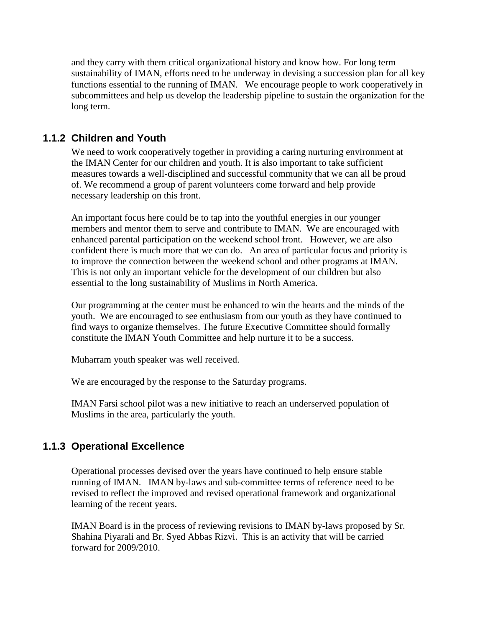and they carry with them critical organizational history and know how. For long term sustainability of IMAN, efforts need to be underway in devising a succession plan for all key functions essential to the running of IMAN. We encourage people to work cooperatively in subcommittees and help us develop the leadership pipeline to sustain the organization for the long term.

#### **1.1.2 Children and Youth**

We need to work cooperatively together in providing a caring nurturing environment at the IMAN Center for our children and youth. It is also important to take sufficient measures towards a well-disciplined and successful community that we can all be proud of. We recommend a group of parent volunteers come forward and help provide necessary leadership on this front.

An important focus here could be to tap into the youthful energies in our younger members and mentor them to serve and contribute to IMAN. We are encouraged with enhanced parental participation on the weekend school front. However, we are also confident there is much more that we can do. An area of particular focus and priority is to improve the connection between the weekend school and other programs at IMAN. This is not only an important vehicle for the development of our children but also essential to the long sustainability of Muslims in North America.

Our programming at the center must be enhanced to win the hearts and the minds of the youth. We are encouraged to see enthusiasm from our youth as they have continued to find ways to organize themselves. The future Executive Committee should formally constitute the IMAN Youth Committee and help nurture it to be a success.

Muharram youth speaker was well received.

We are encouraged by the response to the Saturday programs.

IMAN Farsi school pilot was a new initiative to reach an underserved population of Muslims in the area, particularly the youth.

## **1.1.3 Operational Excellence**

Operational processes devised over the years have continued to help ensure stable running of IMAN. IMAN by-laws and sub-committee terms of reference need to be revised to reflect the improved and revised operational framework and organizational learning of the recent years.

IMAN Board is in the process of reviewing revisions to IMAN by-laws proposed by Sr. Shahina Piyarali and Br. Syed Abbas Rizvi. This is an activity that will be carried forward for 2009/2010.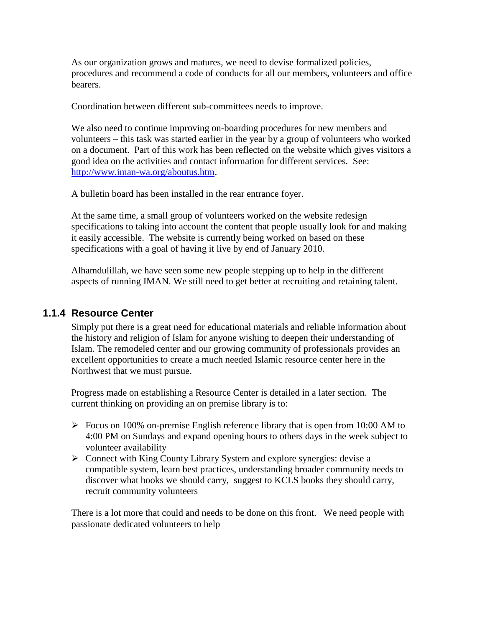As our organization grows and matures, we need to devise formalized policies, procedures and recommend a code of conducts for all our members, volunteers and office bearers.

Coordination between different sub-committees needs to improve.

We also need to continue improving on-boarding procedures for new members and volunteers – this task was started earlier in the year by a group of volunteers who worked on a document. Part of this work has been reflected on the website which gives visitors a good idea on the activities and contact information for different services. See: [http://www.iman-wa.org/aboutus.htm.](http://www.iman-wa.org/aboutus.htm)

A bulletin board has been installed in the rear entrance foyer.

At the same time, a small group of volunteers worked on the website redesign specifications to taking into account the content that people usually look for and making it easily accessible. The website is currently being worked on based on these specifications with a goal of having it live by end of January 2010.

Alhamdulillah, we have seen some new people stepping up to help in the different aspects of running IMAN. We still need to get better at recruiting and retaining talent.

#### **1.1.4 Resource Center**

Simply put there is a great need for educational materials and reliable information about the history and religion of Islam for anyone wishing to deepen their understanding of Islam. The remodeled center and our growing community of professionals provides an excellent opportunities to create a much needed Islamic resource center here in the Northwest that we must pursue.

Progress made on establishing a Resource Center is detailed in a later section. The current thinking on providing an on premise library is to:

- $\triangleright$  Focus on 100% on-premise English reference library that is open from 10:00 AM to 4:00 PM on Sundays and expand opening hours to others days in the week subject to volunteer availability
- Connect with King County Library System and explore synergies: devise a compatible system, learn best practices, understanding broader community needs to discover what books we should carry, suggest to KCLS books they should carry, recruit community volunteers

There is a lot more that could and needs to be done on this front. We need people with passionate dedicated volunteers to help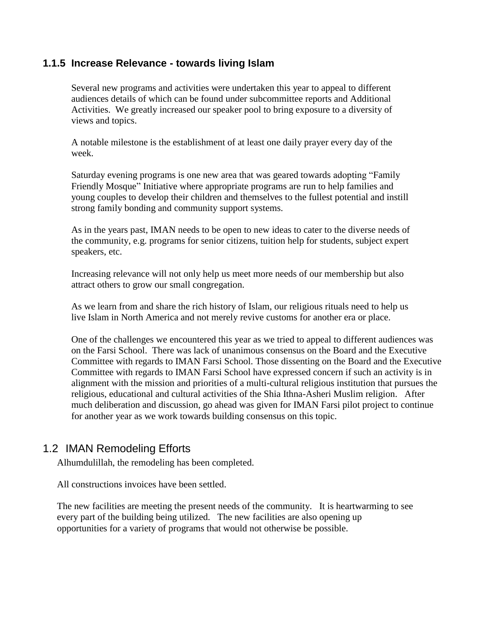#### **1.1.5 Increase Relevance - towards living Islam**

Several new programs and activities were undertaken this year to appeal to different audiences details of which can be found under subcommittee reports and Additional Activities. We greatly increased our speaker pool to bring exposure to a diversity of views and topics.

A notable milestone is the establishment of at least one daily prayer every day of the week.

Saturday evening programs is one new area that was geared towards adopting "Family Friendly Mosque" Initiative where appropriate programs are run to help families and young couples to develop their children and themselves to the fullest potential and instill strong family bonding and community support systems.

As in the years past, IMAN needs to be open to new ideas to cater to the diverse needs of the community, e.g. programs for senior citizens, tuition help for students, subject expert speakers, etc.

Increasing relevance will not only help us meet more needs of our membership but also attract others to grow our small congregation.

As we learn from and share the rich history of Islam, our religious rituals need to help us live Islam in North America and not merely revive customs for another era or place.

One of the challenges we encountered this year as we tried to appeal to different audiences was on the Farsi School. There was lack of unanimous consensus on the Board and the Executive Committee with regards to IMAN Farsi School. Those dissenting on the Board and the Executive Committee with regards to IMAN Farsi School have expressed concern if such an activity is in alignment with the mission and priorities of a multi-cultural religious institution that pursues the religious, educational and cultural activities of the Shia Ithna-Asheri Muslim religion. After much deliberation and discussion, go ahead was given for IMAN Farsi pilot project to continue for another year as we work towards building consensus on this topic.

## <span id="page-5-0"></span>1.2 IMAN Remodeling Efforts

Alhumdulillah, the remodeling has been completed.

All constructions invoices have been settled.

The new facilities are meeting the present needs of the community. It is heartwarming to see every part of the building being utilized. The new facilities are also opening up opportunities for a variety of programs that would not otherwise be possible.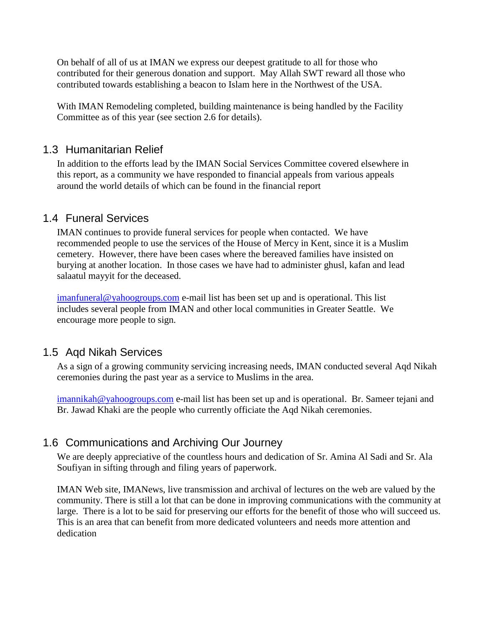On behalf of all of us at IMAN we express our deepest gratitude to all for those who contributed for their generous donation and support. May Allah SWT reward all those who contributed towards establishing a beacon to Islam here in the Northwest of the USA.

With IMAN Remodeling completed, building maintenance is being handled by the Facility Committee as of this year (see section 2.6 for details).

#### <span id="page-6-0"></span>1.3 Humanitarian Relief

In addition to the efforts lead by the IMAN Social Services Committee covered elsewhere in this report, as a community we have responded to financial appeals from various appeals around the world details of which can be found in the financial report

## <span id="page-6-1"></span>1.4 Funeral Services

IMAN continues to provide funeral services for people when contacted. We have recommended people to use the services of the House of Mercy in Kent, since it is a Muslim cemetery. However, there have been cases where the bereaved families have insisted on burying at another location. In those cases we have had to administer ghusl, kafan and lead salaatul mayyit for the deceased.

[imanfuneral@yahoogroups.com](mailto:imanfuneral@yahoogroups.com) e-mail list has been set up and is operational. This list includes several people from IMAN and other local communities in Greater Seattle. We encourage more people to sign.

#### <span id="page-6-2"></span>1.5 Aqd Nikah Services

As a sign of a growing community servicing increasing needs, IMAN conducted several Aqd Nikah ceremonies during the past year as a service to Muslims in the area.

[imannikah@yahoogroups.com](mailto:imannikah@yahoogroups.com) e-mail list has been set up and is operational. Br. Sameer tejani and Br. Jawad Khaki are the people who currently officiate the Aqd Nikah ceremonies.

## <span id="page-6-3"></span>1.6 Communications and Archiving Our Journey

We are deeply appreciative of the countless hours and dedication of Sr. Amina Al Sadi and Sr. Ala Soufiyan in sifting through and filing years of paperwork.

IMAN Web site, IMANews, live transmission and archival of lectures on the web are valued by the community. There is still a lot that can be done in improving communications with the community at large. There is a lot to be said for preserving our efforts for the benefit of those who will succeed us. This is an area that can benefit from more dedicated volunteers and needs more attention and dedication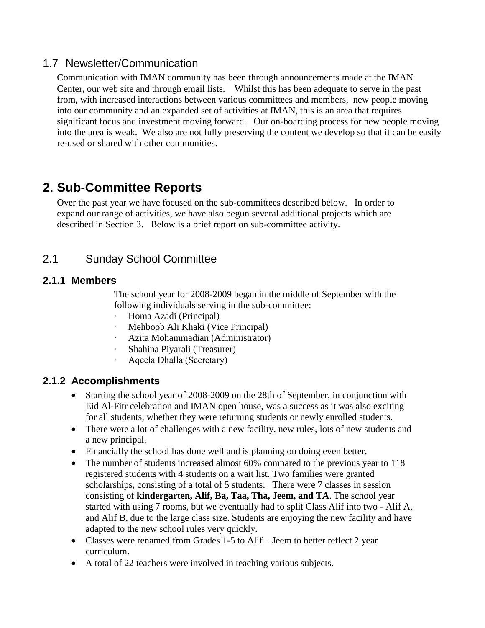#### <span id="page-7-0"></span>1.7 Newsletter/Communication

Communication with IMAN community has been through announcements made at the IMAN Center, our web site and through email lists. Whilst this has been adequate to serve in the past from, with increased interactions between various committees and members, new people moving into our community and an expanded set of activities at IMAN, this is an area that requires significant focus and investment moving forward. Our on-boarding process for new people moving into the area is weak. We also are not fully preserving the content we develop so that it can be easily re-used or shared with other communities.

# <span id="page-7-1"></span>**2. Sub-Committee Reports**

Over the past year we have focused on the sub-committees described below. In order to expand our range of activities, we have also begun several additional projects which are described in Section 3. Below is a brief report on sub-committee activity.

## <span id="page-7-2"></span>2.1 Sunday School Committee

## **2.1.1 Members**

The school year for 2008-2009 began in the middle of September with the following individuals serving in the sub-committee:

- · Homa Azadi (Principal)
- Mehboob Ali Khaki (Vice Principal)
- · Azita Mohammadian (Administrator)
- Shahina Piyarali (Treasurer)
- · Aqeela Dhalla (Secretary)

## **2.1.2 Accomplishments**

- Starting the school year of 2008-2009 on the 28th of September, in conjunction with Eid Al-Fitr celebration and IMAN open house, was a success as it was also exciting for all students, whether they were returning students or newly enrolled students.
- There were a lot of challenges with a new facility, new rules, lots of new students and a new principal.
- Financially the school has done well and is planning on doing even better.
- The number of students increased almost 60% compared to the previous year to 118 registered students with 4 students on a wait list. Two families were granted scholarships, consisting of a total of 5 students. There were 7 classes in session consisting of **kindergarten, Alif, Ba, Taa, Tha, Jeem, and TA**. The school year started with using 7 rooms, but we eventually had to split Class Alif into two - Alif A, and Alif B, due to the large class size. Students are enjoying the new facility and have adapted to the new school rules very quickly.
- Classes were renamed from Grades 1-5 to Alif Jeem to better reflect 2 year curriculum.
- A total of 22 teachers were involved in teaching various subjects.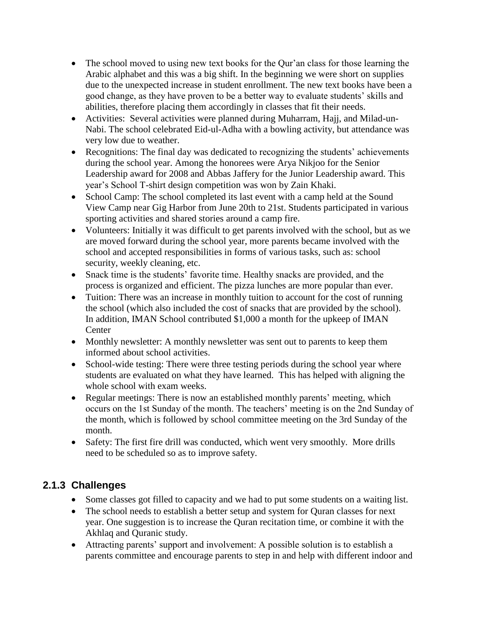- The school moved to using new text books for the Qur'an class for those learning the Arabic alphabet and this was a big shift. In the beginning we were short on supplies due to the unexpected increase in student enrollment. The new text books have been a good change, as they have proven to be a better way to evaluate students" skills and abilities, therefore placing them accordingly in classes that fit their needs.
- Activities: Several activities were planned during Muharram, Hajj, and Milad-un-Nabi. The school celebrated Eid-ul-Adha with a bowling activity, but attendance was very low due to weather.
- Recognitions: The final day was dedicated to recognizing the students' achievements during the school year. Among the honorees were Arya Nikjoo for the Senior Leadership award for 2008 and Abbas Jaffery for the Junior Leadership award. This year"s School T-shirt design competition was won by Zain Khaki.
- School Camp: The school completed its last event with a camp held at the Sound View Camp near Gig Harbor from June 20th to 21st. Students participated in various sporting activities and shared stories around a camp fire.
- Volunteers: Initially it was difficult to get parents involved with the school, but as we are moved forward during the school year, more parents became involved with the school and accepted responsibilities in forms of various tasks, such as: school security, weekly cleaning, etc.
- Snack time is the students' favorite time. Healthy snacks are provided, and the process is organized and efficient. The pizza lunches are more popular than ever.
- Tuition: There was an increase in monthly tuition to account for the cost of running the school (which also included the cost of snacks that are provided by the school). In addition, IMAN School contributed \$1,000 a month for the upkeep of IMAN Center
- Monthly newsletter: A monthly newsletter was sent out to parents to keep them informed about school activities.
- School-wide testing: There were three testing periods during the school year where students are evaluated on what they have learned. This has helped with aligning the whole school with exam weeks.
- Regular meetings: There is now an established monthly parents' meeting, which occurs on the 1st Sunday of the month. The teachers' meeting is on the 2nd Sunday of the month, which is followed by school committee meeting on the 3rd Sunday of the month.
- Safety: The first fire drill was conducted, which went very smoothly. More drills need to be scheduled so as to improve safety.

# **2.1.3 Challenges**

- Some classes got filled to capacity and we had to put some students on a waiting list.
- The school needs to establish a better setup and system for Quran classes for next year. One suggestion is to increase the Quran recitation time, or combine it with the Akhlaq and Quranic study.
- Attracting parents" support and involvement: A possible solution is to establish a parents committee and encourage parents to step in and help with different indoor and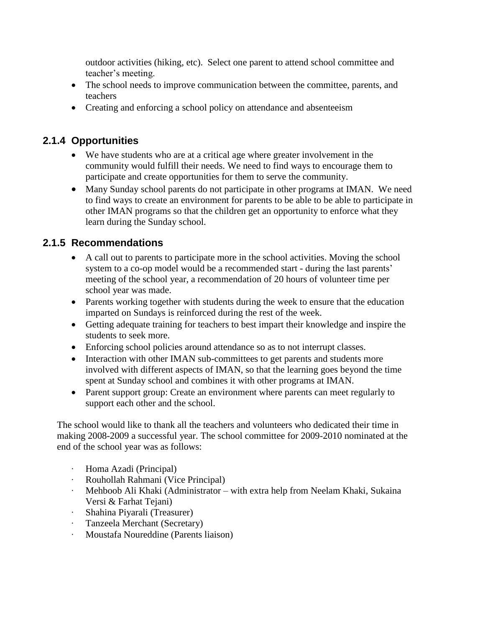outdoor activities (hiking, etc). Select one parent to attend school committee and teacher"s meeting.

- The school needs to improve communication between the committee, parents, and teachers
- Creating and enforcing a school policy on attendance and absenteeism

## **2.1.4 Opportunities**

- We have students who are at a critical age where greater involvement in the community would fulfill their needs. We need to find ways to encourage them to participate and create opportunities for them to serve the community.
- Many Sunday school parents do not participate in other programs at IMAN. We need to find ways to create an environment for parents to be able to be able to participate in other IMAN programs so that the children get an opportunity to enforce what they learn during the Sunday school.

## **2.1.5 Recommendations**

- A call out to parents to participate more in the school activities. Moving the school system to a co-op model would be a recommended start - during the last parents' meeting of the school year, a recommendation of 20 hours of volunteer time per school year was made.
- Parents working together with students during the week to ensure that the education imparted on Sundays is reinforced during the rest of the week.
- Getting adequate training for teachers to best impart their knowledge and inspire the students to seek more.
- Enforcing school policies around attendance so as to not interrupt classes.
- Interaction with other IMAN sub-committees to get parents and students more involved with different aspects of IMAN, so that the learning goes beyond the time spent at Sunday school and combines it with other programs at IMAN.
- Parent support group: Create an environment where parents can meet regularly to support each other and the school.

The school would like to thank all the teachers and volunteers who dedicated their time in making 2008-2009 a successful year. The school committee for 2009-2010 nominated at the end of the school year was as follows:

- · Homa Azadi (Principal)
- · Rouhollah Rahmani (Vice Principal)
- · Mehboob Ali Khaki (Administrator with extra help from Neelam Khaki, Sukaina Versi & Farhat Tejani)
- · Shahina Piyarali (Treasurer)
- · Tanzeela Merchant (Secretary)
- · Moustafa Noureddine (Parents liaison)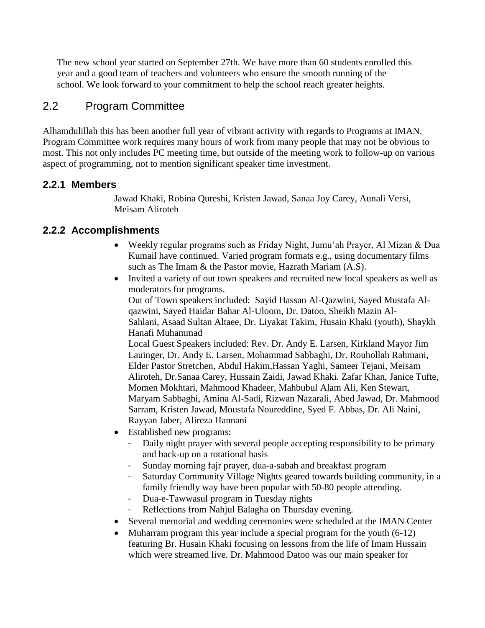The new school year started on September 27th. We have more than 60 students enrolled this year and a good team of teachers and volunteers who ensure the smooth running of the school. We look forward to your commitment to help the school reach greater heights.

## <span id="page-10-0"></span>2.2 Program Committee

Alhamdulillah this has been another full year of vibrant activity with regards to Programs at IMAN. Program Committee work requires many hours of work from many people that may not be obvious to most. This not only includes PC meeting time, but outside of the meeting work to follow-up on various aspect of programming, not to mention significant speaker time investment.

#### **2.2.1 Members**

Jawad Khaki, Robina Qureshi, Kristen Jawad, Sanaa Joy Carey, Aunali Versi, Meisam Aliroteh

## **2.2.2 Accomplishments**

- Weekly regular programs such as Friday Night, Jumu"ah Prayer, Al Mizan & Dua Kumail have continued. Varied program formats e.g., using documentary films such as The Imam & the Pastor movie, Hazrath Mariam (A.S).
- Invited a variety of out town speakers and recruited new local speakers as well as moderators for programs.

Out of Town speakers included: Sayid Hassan Al-Qazwini, Sayed Mustafa Alqazwini, Sayed Haidar Bahar Al-Uloom, Dr. Datoo, Sheikh Mazin Al-Sahlani, Asaad Sultan Altaee, Dr. Liyakat Takim, Husain Khaki (youth), Shaykh Hanafi Muhammad

Local Guest Speakers included: Rev. Dr. Andy E. Larsen, Kirkland Mayor Jim Lauinger, Dr. Andy E. Larsen, Mohammad Sabbaghi, Dr. Rouhollah Rahmani, Elder Pastor Stretchen, Abdul Hakim,Hassan Yaghi, Sameer Tejani, Meisam Aliroteh, Dr.Sanaa Carey, Hussain Zaidi, Jawad Khaki. Zafar Khan, Janice Tufte, Momen Mokhtari, Mahmood Khadeer, Mahbubul Alam Ali, Ken Stewart, Maryam Sabbaghi, Amina Al-Sadi, Rizwan Nazarali, Abed Jawad, Dr. Mahmood Sarram, Kristen Jawad, Moustafa Noureddine, Syed F. Abbas, Dr. Ali Naini, Rayyan Jaber, Alireza Hannani

- Established new programs:
	- Daily night prayer with several people accepting responsibility to be primary and back-up on a rotational basis
	- Sunday morning fajr prayer, dua-a-sabah and breakfast program
	- Saturday Community Village Nights geared towards building community, in a family friendly way have been popular with 50-80 people attending.
	- Dua-e-Tawwasul program in Tuesday nights
	- Reflections from Nahjul Balagha on Thursday evening.
- Several memorial and wedding ceremonies were scheduled at the IMAN Center
- Muharram program this year include a special program for the youth  $(6-12)$ featuring Br. Husain Khaki focusing on lessons from the life of Imam Hussain which were streamed live. Dr. Mahmood Datoo was our main speaker for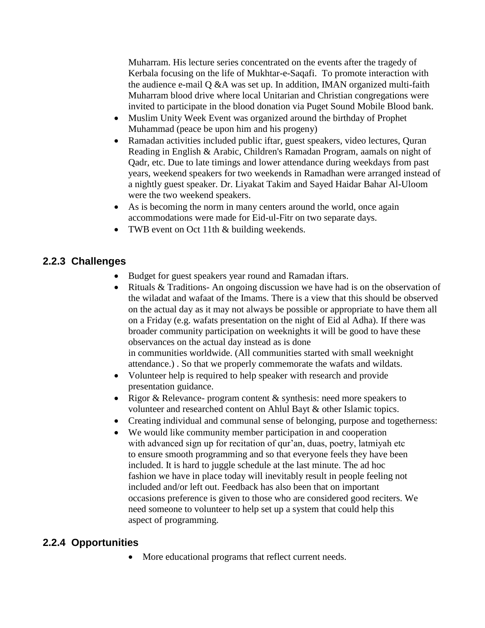Muharram. His lecture series concentrated on the events after the tragedy of Kerbala focusing on the life of Mukhtar-e-Saqafi. To promote interaction with the audience e-mail Q &A was set up. In addition, IMAN organized multi-faith Muharram blood drive where local Unitarian and Christian congregations were invited to participate in the blood donation via Puget Sound Mobile Blood bank.

- Muslim Unity Week Event was organized around the birthday of Prophet Muhammad (peace be upon him and his progeny)
- Ramadan activities included public iftar, guest speakers, video lectures, Quran Reading in English & Arabic, Children's Ramadan Program, aamals on night of Qadr, etc. Due to late timings and lower attendance during weekdays from past years, weekend speakers for two weekends in Ramadhan were arranged instead of a nightly guest speaker. Dr. Liyakat Takim and Sayed Haidar Bahar Al-Uloom were the two weekend speakers.
- As is becoming the norm in many centers around the world, once again accommodations were made for Eid-ul-Fitr on two separate days.
- TWB event on Oct 11th & building weekends.

## **2.2.3 Challenges**

- Budget for guest speakers year round and Ramadan iftars.
- Rituals & Traditions- An ongoing discussion we have had is on the observation of the wiladat and wafaat of the Imams. There is a view that this should be observed on the actual day as it may not always be possible or appropriate to have them all on a Friday (e.g. wafats presentation on the night of Eid al Adha). If there was broader community participation on weeknights it will be good to have these observances on the actual day instead as is done in communities worldwide. (All communities started with small weeknight attendance.) . So that we properly commemorate the wafats and wildats.
- Volunteer help is required to help speaker with research and provide presentation guidance.
- Rigor & Relevance- program content  $\&$  synthesis: need more speakers to volunteer and researched content on Ahlul Bayt & other Islamic topics.
- Creating individual and communal sense of belonging, purpose and togetherness:
- We would like community member participation in and cooperation with advanced sign up for recitation of qur'an, duas, poetry, latmiyah etc to ensure smooth programming and so that everyone feels they have been included. It is hard to juggle schedule at the last minute. The ad hoc fashion we have in place today will inevitably result in people feeling not included and/or left out. Feedback has also been that on important occasions preference is given to those who are considered good reciters. We need someone to volunteer to help set up a system that could help this aspect of programming.

#### **2.2.4 Opportunities**

• More educational programs that reflect current needs.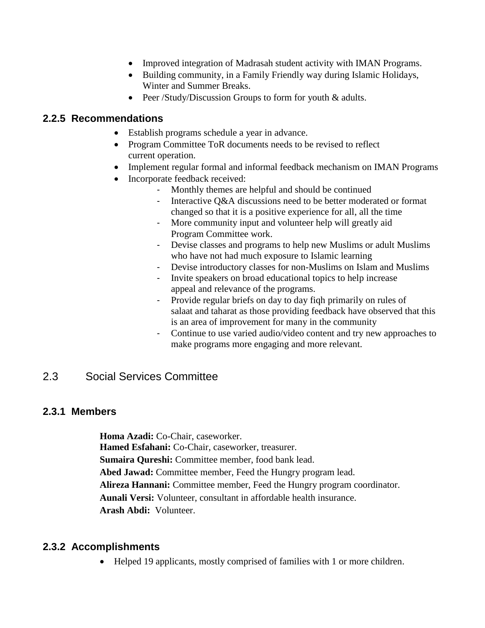- Improved integration of Madrasah student activity with IMAN Programs.
- Building community, in a Family Friendly way during Islamic Holidays, Winter and Summer Breaks.
- Peer /Study/Discussion Groups to form for youth & adults.

#### **2.2.5 Recommendations**

- Establish programs schedule a year in advance.
- Program Committee ToR documents needs to be revised to reflect current operation.
- Implement regular formal and informal feedback mechanism on IMAN Programs
- Incorporate feedback received:
	- Monthly themes are helpful and should be continued
	- Interactive Q&A discussions need to be better moderated or format changed so that it is a positive experience for all, all the time
	- More community input and volunteer help will greatly aid Program Committee work.
	- Devise classes and programs to help new Muslims or adult Muslims who have not had much exposure to Islamic learning
	- Devise introductory classes for non-Muslims on Islam and Muslims
	- Invite speakers on broad educational topics to help increase appeal and relevance of the programs.
	- Provide regular briefs on day to day fiqh primarily on rules of salaat and taharat as those providing feedback have observed that this is an area of improvement for many in the community
	- Continue to use varied audio/video content and try new approaches to make programs more engaging and more relevant.

# <span id="page-12-0"></span>2.3 Social Services Committee

## **2.3.1 Members**

**Homa Azadi:** Co-Chair, caseworker. **Hamed Esfahani:** Co-Chair, caseworker, treasurer. **Sumaira Qureshi:** Committee member, food bank lead. **Abed Jawad:** Committee member, Feed the Hungry program lead. **Alireza Hannani:** Committee member, Feed the Hungry program coordinator. **Aunali Versi:** Volunteer, consultant in affordable health insurance. **Arash Abdi:** Volunteer.

## **2.3.2 Accomplishments**

Helped 19 applicants, mostly comprised of families with 1 or more children.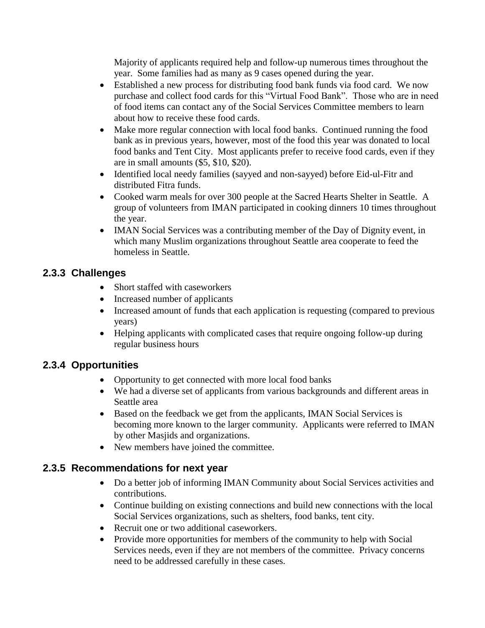Majority of applicants required help and follow-up numerous times throughout the year. Some families had as many as 9 cases opened during the year.

- Established a new process for distributing food bank funds via food card. We now purchase and collect food cards for this "Virtual Food Bank". Those who are in need of food items can contact any of the Social Services Committee members to learn about how to receive these food cards.
- Make more regular connection with local food banks. Continued running the food bank as in previous years, however, most of the food this year was donated to local food banks and Tent City. Most applicants prefer to receive food cards, even if they are in small amounts (\$5, \$10, \$20).
- Identified local needy families (sayyed and non-sayyed) before Eid-ul-Fitr and distributed Fitra funds.
- Cooked warm meals for over 300 people at the Sacred Hearts Shelter in Seattle. A group of volunteers from IMAN participated in cooking dinners 10 times throughout the year.
- IMAN Social Services was a contributing member of the Day of Dignity event, in which many Muslim organizations throughout Seattle area cooperate to feed the homeless in Seattle.

## **2.3.3 Challenges**

- Short staffed with caseworkers
- Increased number of applicants
- Increased amount of funds that each application is requesting (compared to previous years)
- Helping applicants with complicated cases that require ongoing follow-up during regular business hours

## **2.3.4 Opportunities**

- Opportunity to get connected with more local food banks
- We had a diverse set of applicants from various backgrounds and different areas in Seattle area
- Based on the feedback we get from the applicants, IMAN Social Services is becoming more known to the larger community. Applicants were referred to IMAN by other Masjids and organizations.
- New members have joined the committee.

## **2.3.5 Recommendations for next year**

- Do a better job of informing IMAN Community about Social Services activities and contributions.
- Continue building on existing connections and build new connections with the local Social Services organizations, such as shelters, food banks, tent city.
- Recruit one or two additional caseworkers.
- Provide more opportunities for members of the community to help with Social Services needs, even if they are not members of the committee. Privacy concerns need to be addressed carefully in these cases.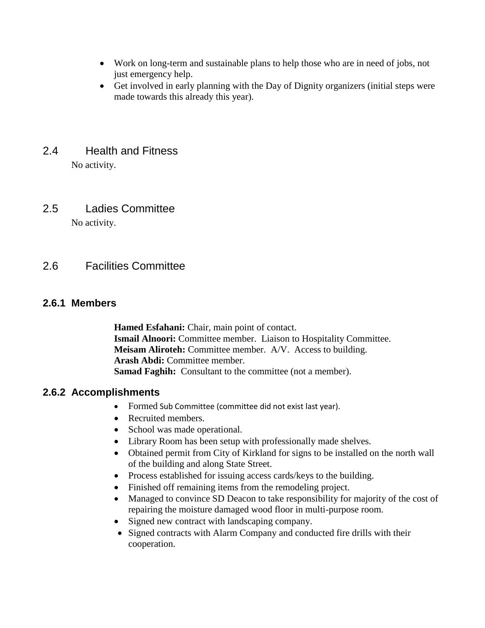- Work on long-term and sustainable plans to help those who are in need of jobs, not just emergency help.
- Get involved in early planning with the Day of Dignity organizers (initial steps were made towards this already this year).

# <span id="page-14-0"></span>2.4 Health and Fitness

No activity.

<span id="page-14-1"></span>2.5 Ladies Committee

No activity.

## <span id="page-14-2"></span>2.6 Facilities Committee

## **2.6.1 Members**

**Hamed Esfahani:** Chair, main point of contact. **Ismail Alnoori:** Committee member. Liaison to Hospitality Committee. **Meisam Aliroteh:** Committee member. A/V. Access to building. **Arash Abdi:** Committee member. **Samad Faghih:** Consultant to the committee (not a member).

## **2.6.2 Accomplishments**

- Formed Sub Committee (committee did not exist last year).
- Recruited members.
- School was made operational.
- Library Room has been setup with professionally made shelves.
- Obtained permit from City of Kirkland for signs to be installed on the north wall of the building and along State Street.
- Process established for issuing access cards/keys to the building.
- Finished off remaining items from the remodeling project.
- Managed to convince SD Deacon to take responsibility for majority of the cost of repairing the moisture damaged wood floor in multi-purpose room.
- Signed new contract with landscaping company.
- Signed contracts with Alarm Company and conducted fire drills with their cooperation.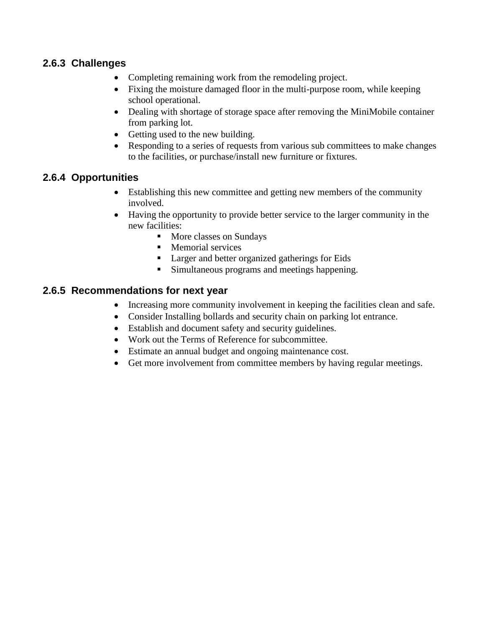#### **2.6.3 Challenges**

- Completing remaining work from the remodeling project.
- Fixing the moisture damaged floor in the multi-purpose room, while keeping school operational.
- Dealing with shortage of storage space after removing the MiniMobile container from parking lot.
- Getting used to the new building.
- Responding to a series of requests from various sub committees to make changes to the facilities, or purchase/install new furniture or fixtures.

#### **2.6.4 Opportunities**

- Establishing this new committee and getting new members of the community involved.
- Having the opportunity to provide better service to the larger community in the new facilities:
	- More classes on Sundays
	- **Memorial services**
	- Larger and better organized gatherings for Eids
	- **Simultaneous programs and meetings happening.**

#### **2.6.5 Recommendations for next year**

- Increasing more community involvement in keeping the facilities clean and safe.
- Consider Installing bollards and security chain on parking lot entrance.
- Establish and document safety and security guidelines.
- Work out the Terms of Reference for subcommittee.
- Estimate an annual budget and ongoing maintenance cost.
- Get more involvement from committee members by having regular meetings.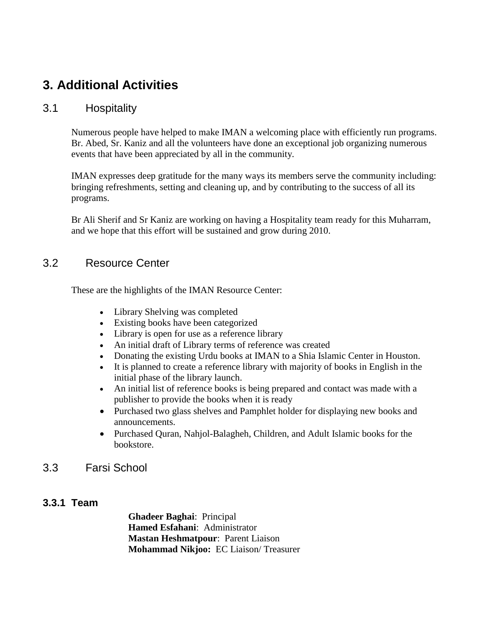# <span id="page-16-0"></span>**3. Additional Activities**

#### <span id="page-16-1"></span>3.1 Hospitality

Numerous people have helped to make IMAN a welcoming place with efficiently run programs. Br. Abed, Sr. Kaniz and all the volunteers have done an exceptional job organizing numerous events that have been appreciated by all in the community.

IMAN expresses deep gratitude for the many ways its members serve the community including: bringing refreshments, setting and cleaning up, and by contributing to the success of all its programs.

Br Ali Sherif and Sr Kaniz are working on having a Hospitality team ready for this Muharram, and we hope that this effort will be sustained and grow during 2010.

#### <span id="page-16-2"></span>3.2 Resource Center

These are the highlights of the IMAN Resource Center:

- Library Shelving was completed
- Existing books have been categorized
- Library is open for use as a reference library
- An initial draft of Library terms of reference was created
- Donating the existing Urdu books at IMAN to a Shia Islamic Center in Houston.
- It is planned to create a reference library with majority of books in English in the initial phase of the library launch.
- An initial list of reference books is being prepared and contact was made with a publisher to provide the books when it is ready
- Purchased two glass shelves and Pamphlet holder for displaying new books and announcements.
- Purchased Quran, Nahjol-Balagheh, Children, and Adult Islamic books for the bookstore.
- <span id="page-16-3"></span>3.3 Farsi School

## **3.3.1 Team**

**Ghadeer Baghai**: Principal **Hamed Esfahani**: Administrator **Mastan Heshmatpour**: Parent Liaison **Mohammad Nikjoo:** EC Liaison/ Treasurer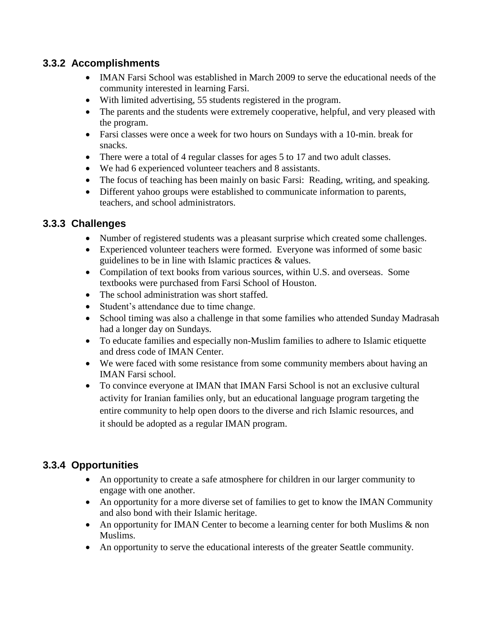## **3.3.2 Accomplishments**

- IMAN Farsi School was established in March 2009 to serve the educational needs of the community interested in learning Farsi.
- With limited advertising, 55 students registered in the program.
- The parents and the students were extremely cooperative, helpful, and very pleased with the program.
- Farsi classes were once a week for two hours on Sundays with a 10-min. break for snacks.
- There were a total of 4 regular classes for ages 5 to 17 and two adult classes.
- We had 6 experienced volunteer teachers and 8 assistants.
- The focus of teaching has been mainly on basic Farsi: Reading, writing, and speaking.
- Different yahoo groups were established to communicate information to parents, teachers, and school administrators.

#### **3.3.3 Challenges**

- Number of registered students was a pleasant surprise which created some challenges.
- Experienced volunteer teachers were formed. Everyone was informed of some basic guidelines to be in line with Islamic practices & values.
- Compilation of text books from various sources, within U.S. and overseas. Some textbooks were purchased from Farsi School of Houston.
- The school administration was short staffed.
- Student's attendance due to time change.
- School timing was also a challenge in that some families who attended Sunday Madrasah had a longer day on Sundays.
- To educate families and especially non-Muslim families to adhere to Islamic etiquette and dress code of IMAN Center.
- We were faced with some resistance from some community members about having an IMAN Farsi school.
- To convince everyone at IMAN that IMAN Farsi School is not an exclusive cultural activity for Iranian families only, but an educational language program targeting the entire community to help open doors to the diverse and rich Islamic resources, and it should be adopted as a regular IMAN program.

## **3.3.4 Opportunities**

- An opportunity to create a safe atmosphere for children in our larger community to engage with one another.
- An opportunity for a more diverse set of families to get to know the IMAN Community and also bond with their Islamic heritage.
- An opportunity for IMAN Center to become a learning center for both Muslims & non Muslims.
- An opportunity to serve the educational interests of the greater Seattle community.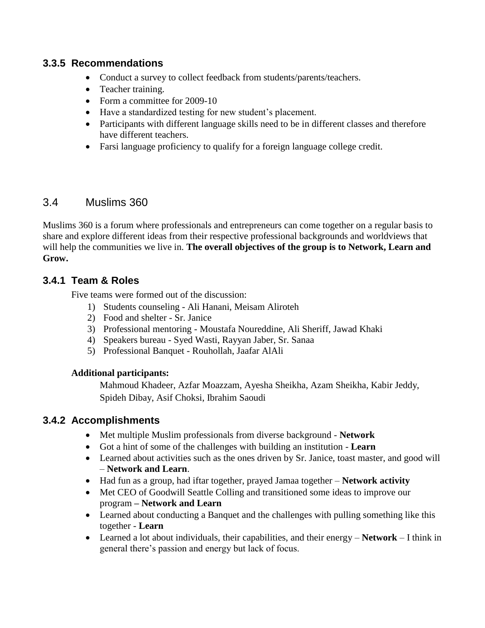#### **3.3.5 Recommendations**

- Conduct a survey to collect feedback from students/parents/teachers.
- Teacher training.
- Form a committee for 2009-10
- Have a standardized testing for new student"s placement.
- Participants with different language skills need to be in different classes and therefore have different teachers.
- Farsi language proficiency to qualify for a foreign language college credit.

## <span id="page-18-0"></span>3.4 Muslims 360

Muslims 360 is a forum where professionals and entrepreneurs can come together on a regular basis to share and explore different ideas from their respective professional backgrounds and worldviews that will help the communities we live in. **The overall objectives of the group is to Network, Learn and Grow.**

## **3.4.1 Team & Roles**

Five teams were formed out of the discussion:

- 1) Students counseling Ali Hanani, Meisam Aliroteh
- 2) Food and shelter Sr. Janice
- 3) Professional mentoring Moustafa Noureddine, Ali Sheriff, Jawad Khaki
- 4) Speakers bureau Syed Wasti, Rayyan Jaber, Sr. Sanaa
- 5) Professional Banquet Rouhollah, Jaafar AlAli

#### **Additional participants:**

Mahmoud Khadeer, Azfar Moazzam, Ayesha Sheikha, Azam Sheikha, Kabir Jeddy, Spideh Dibay, Asif Choksi, Ibrahim Saoudi

## **3.4.2 Accomplishments**

- Met multiple Muslim professionals from diverse background **Network**
- Got a hint of some of the challenges with building an institution **Learn**
- Learned about activities such as the ones driven by Sr. Janice, toast master, and good will – **Network and Learn**.
- Had fun as a group, had iftar together, prayed Jamaa together **Network activity**
- Met CEO of Goodwill Seattle Colling and transitioned some ideas to improve our program **– Network and Learn**
- Learned about conducting a Banquet and the challenges with pulling something like this together - **Learn**
- Learned a lot about individuals, their capabilities, and their energy **Network** I think in general there"s passion and energy but lack of focus.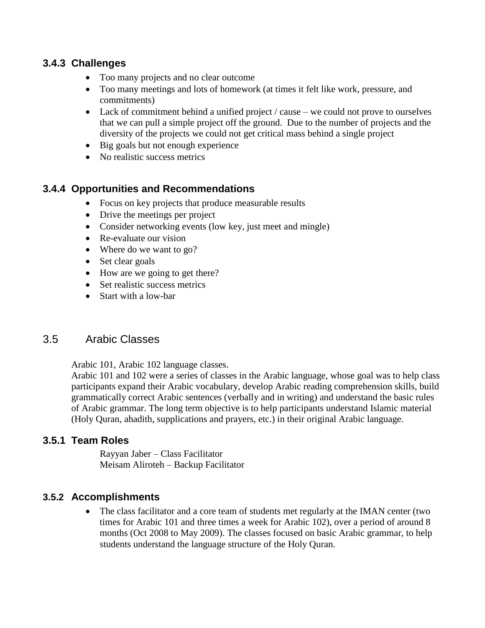#### **3.4.3 Challenges**

- Too many projects and no clear outcome
- Too many meetings and lots of homework (at times it felt like work, pressure, and commitments)
- Lack of commitment behind a unified project / cause we could not prove to ourselves that we can pull a simple project off the ground. Due to the number of projects and the diversity of the projects we could not get critical mass behind a single project
- Big goals but not enough experience
- No realistic success metrics

## **3.4.4 Opportunities and Recommendations**

- Focus on key projects that produce measurable results
- Drive the meetings per project
- Consider networking events (low key, just meet and mingle)
- Re-evaluate our vision
- Where do we want to go?
- Set clear goals
- How are we going to get there?
- Set realistic success metrics
- Start with a low-bar

## <span id="page-19-0"></span>3.5 Arabic Classes

Arabic 101, Arabic 102 language classes.

Arabic 101 and 102 were a series of classes in the Arabic language, whose goal was to help class participants expand their Arabic vocabulary, develop Arabic reading comprehension skills, build grammatically correct Arabic sentences (verbally and in writing) and understand the basic rules of Arabic grammar. The long term objective is to help participants understand Islamic material (Holy Quran, ahadith, supplications and prayers, etc.) in their original Arabic language.

## **3.5.1 Team Roles**

Rayyan Jaber – Class Facilitator Meisam Aliroteh – Backup Facilitator

## **3.5.2 Accomplishments**

• The class facilitator and a core team of students met regularly at the IMAN center (two times for Arabic 101 and three times a week for Arabic 102), over a period of around 8 months (Oct 2008 to May 2009). The classes focused on basic Arabic grammar, to help students understand the language structure of the Holy Quran.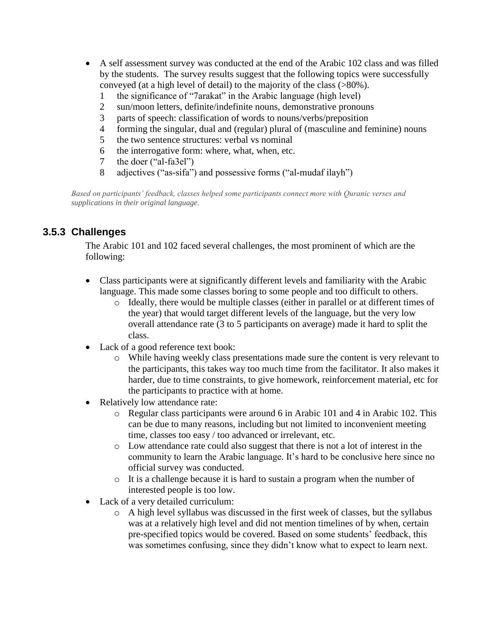- A self assessment survey was conducted at the end of the Arabic 102 class and was filled by the students. The survey results suggest that the following topics were successfully conveyed (at a high level of detail) to the majority of the class (>80%).
	- 1 the significance of "7arakat" in the Arabic language (high level)
	- 2 sun/moon letters, definite/indefinite nouns, demonstrative pronouns
	- 3 parts of speech: classification of words to nouns/verbs/preposition
	- 4 forming the singular, dual and (regular) plural of (masculine and feminine) nouns
	- 5 the two sentence structures: verbal vs nominal
	- 6 the interrogative form: where, what, when, etc.
	- 7 the doer ("al-fa3el")
	- 8 adjectives ("as-sifa") and possessive forms ("al-mudaf ilayh")

*Based on participants' feedback, classes helped some participants connect more with Quranic verses and supplications in their original language.*

## **3.5.3 Challenges**

The Arabic 101 and 102 faced several challenges, the most prominent of which are the following:

- Class participants were at significantly different levels and familiarity with the Arabic language. This made some classes boring to some people and too difficult to others.
	- o Ideally, there would be multiple classes (either in parallel or at different times of the year) that would target different levels of the language, but the very low overall attendance rate (3 to 5 participants on average) made it hard to split the class.
- Lack of a good reference text book:
	- o While having weekly class presentations made sure the content is very relevant to the participants, this takes way too much time from the facilitator. It also makes it harder, due to time constraints, to give homework, reinforcement material, etc for the participants to practice with at home.
- Relatively low attendance rate:
	- o Regular class participants were around 6 in Arabic 101 and 4 in Arabic 102. This can be due to many reasons, including but not limited to inconvenient meeting time, classes too easy / too advanced or irrelevant, etc.
	- o Low attendance rate could also suggest that there is not a lot of interest in the community to learn the Arabic language. It's hard to be conclusive here since no official survey was conducted.
	- o It is a challenge because it is hard to sustain a program when the number of interested people is too low.
- Lack of a very detailed curriculum:
	- o A high level syllabus was discussed in the first week of classes, but the syllabus was at a relatively high level and did not mention timelines of by when, certain pre-specified topics would be covered. Based on some students' feedback, this was sometimes confusing, since they didn"t know what to expect to learn next.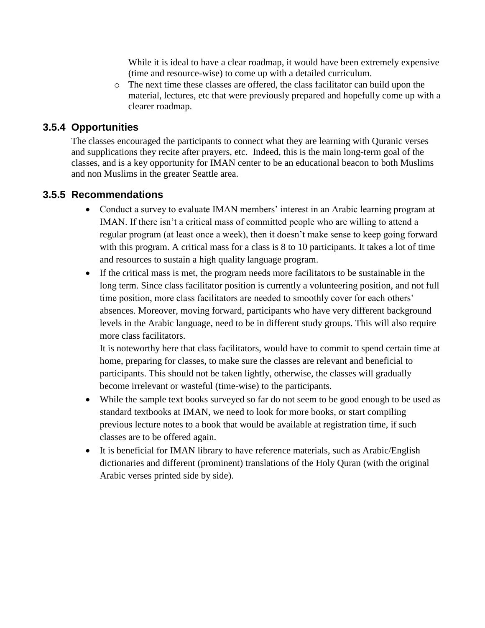While it is ideal to have a clear roadmap, it would have been extremely expensive (time and resource-wise) to come up with a detailed curriculum.

o The next time these classes are offered, the class facilitator can build upon the material, lectures, etc that were previously prepared and hopefully come up with a clearer roadmap.

#### **3.5.4 Opportunities**

The classes encouraged the participants to connect what they are learning with Quranic verses and supplications they recite after prayers, etc. Indeed, this is the main long-term goal of the classes, and is a key opportunity for IMAN center to be an educational beacon to both Muslims and non Muslims in the greater Seattle area.

#### **3.5.5 Recommendations**

- Conduct a survey to evaluate IMAN members' interest in an Arabic learning program at IMAN. If there isn't a critical mass of committed people who are willing to attend a regular program (at least once a week), then it doesn"t make sense to keep going forward with this program. A critical mass for a class is 8 to 10 participants. It takes a lot of time and resources to sustain a high quality language program.
- If the critical mass is met, the program needs more facilitators to be sustainable in the long term. Since class facilitator position is currently a volunteering position, and not full time position, more class facilitators are needed to smoothly cover for each others' absences. Moreover, moving forward, participants who have very different background levels in the Arabic language, need to be in different study groups. This will also require more class facilitators.

It is noteworthy here that class facilitators, would have to commit to spend certain time at home, preparing for classes, to make sure the classes are relevant and beneficial to participants. This should not be taken lightly, otherwise, the classes will gradually become irrelevant or wasteful (time-wise) to the participants.

- While the sample text books surveyed so far do not seem to be good enough to be used as standard textbooks at IMAN, we need to look for more books, or start compiling previous lecture notes to a book that would be available at registration time, if such classes are to be offered again.
- It is beneficial for IMAN library to have reference materials, such as Arabic/English dictionaries and different (prominent) translations of the Holy Quran (with the original Arabic verses printed side by side).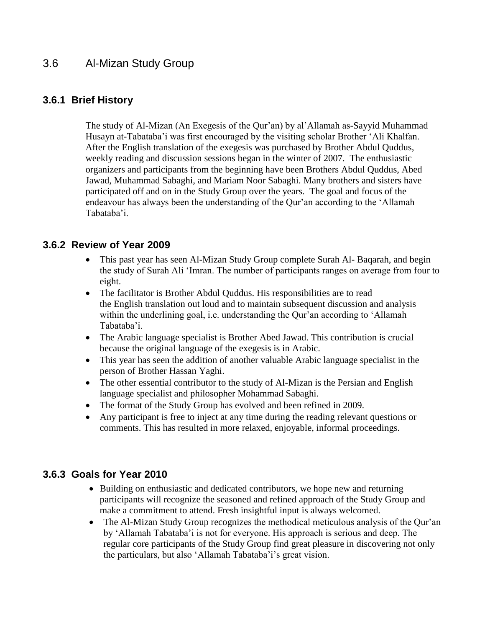## <span id="page-22-0"></span>3.6 Al-Mizan Study Group

#### **3.6.1 Brief History**

The study of Al-Mizan (An Exegesis of the Qur'an) by al'Allamah as-Sayyid Muhammad Husayn at-Tabataba'i was first encouraged by the visiting scholar Brother 'Ali Khalfan. After the English translation of the exegesis was purchased by Brother Abdul Quddus, weekly reading and discussion sessions began in the winter of 2007. The enthusiastic organizers and participants from the beginning have been Brothers Abdul Quddus, Abed Jawad, Muhammad Sabaghi, and Mariam Noor Sabaghi. Many brothers and sisters have participated off and on in the Study Group over the years. The goal and focus of the endeavour has always been the understanding of the Qur"an according to the "Allamah Tabataba"i.

#### **3.6.2 Review of Year 2009**

- This past year has seen Al-Mizan Study Group complete Surah Al- Baqarah, and begin the study of Surah Ali "Imran. The number of participants ranges on average from four to eight.
- The facilitator is Brother Abdul Quddus. His responsibilities are to read the English translation out loud and to maintain subsequent discussion and analysis within the underlining goal, i.e. understanding the Qur'an according to 'Allamah Tabataba'i.
- The Arabic language specialist is Brother Abed Jawad. This contribution is crucial because the original language of the exegesis is in Arabic.
- This year has seen the addition of another valuable Arabic language specialist in the person of Brother Hassan Yaghi.
- The other essential contributor to the study of Al-Mizan is the Persian and English language specialist and philosopher Mohammad Sabaghi.
- The format of the Study Group has evolved and been refined in 2009.
- Any participant is free to inject at any time during the reading relevant questions or comments. This has resulted in more relaxed, enjoyable, informal proceedings.

#### **3.6.3 Goals for Year 2010**

- Building on enthusiastic and dedicated contributors, we hope new and returning participants will recognize the seasoned and refined approach of the Study Group and make a commitment to attend. Fresh insightful input is always welcomed.
- The Al-Mizan Study Group recognizes the methodical meticulous analysis of the Our'an by "Allamah Tabataba"i is not for everyone. His approach is serious and deep. The regular core participants of the Study Group find great pleasure in discovering not only the particulars, but also 'Allamah Tabataba'i's great vision.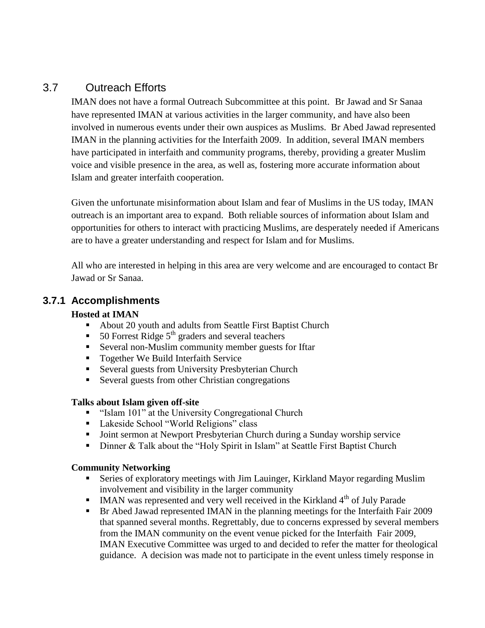## <span id="page-23-0"></span>3.7 Outreach Efforts

IMAN does not have a formal Outreach Subcommittee at this point.Br Jawad and Sr Sanaa have represented IMAN at various activities in the larger community, and have also been involved in numerous events under their own auspices as Muslims. Br Abed Jawad represented IMAN in the planning activities for the Interfaith 2009. In addition, several IMAN members have participated in interfaith and community programs, thereby, providing a greater Muslim voice and visible presence in the area, as well as, fostering more accurate information about Islam and greater interfaith cooperation.

Given the unfortunate misinformation about Islam and fear of Muslims in the US today, IMAN outreach is an important area to expand. Both reliable sources of information about Islam and opportunities for others to interact with practicing Muslims, are desperately needed if Americans are to have a greater understanding and respect for Islam and for Muslims.

All who are interested in helping in this area are very welcome and are encouraged to contact Br Jawad or Sr Sanaa.

#### **3.7.1 Accomplishments**

#### **Hosted at IMAN**

- About 20 youth and adults from Seattle First Baptist Church
- 50 Forrest Ridge  $5<sup>th</sup>$  graders and several teachers
- Several non-Muslim community member guests for Iftar
- Together We Build Interfaith Service
- Several guests from University Presbyterian Church
- Several guests from other Christian congregations

#### **Talks about Islam given off-site**

- **Example 101** " Islam 101" at the University Congregational Church
- Lakeside School "World Religions" class
- **Joint sermon at Newport Presbyterian Church during a Sunday worship service**
- Dinner & Talk about the "Holy Spirit in Islam" at Seattle First Baptist Church

#### **Community Networking**

- Series of exploratory meetings with Jim Lauinger, Kirkland Mayor regarding Muslim involvement and visibility in the larger community
- $\blacksquare$  IMAN was represented and very well received in the Kirkland 4<sup>th</sup> of July Parade
- Br Abed Jawad represented IMAN in the planning meetings for the Interfaith Fair 2009 that spanned several months. Regrettably, due to concerns expressed by several members from the IMAN community on the event venue picked for the Interfaith Fair 2009, IMAN Executive Committee was urged to and decided to refer the matter for theological guidance. A decision was made not to participate in the event unless timely response in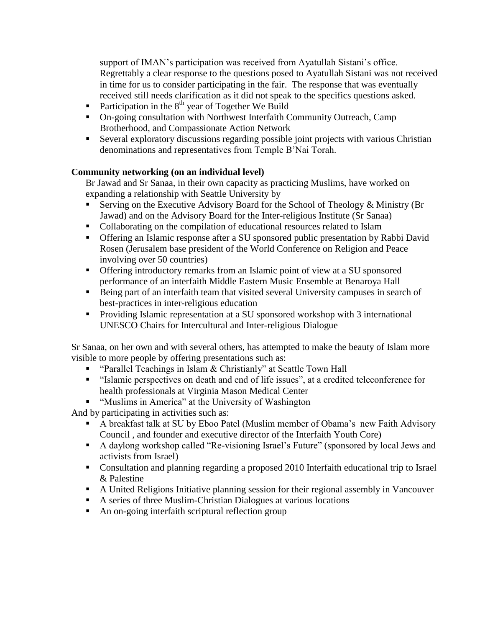support of IMAN's participation was received from Ayatullah Sistani's office. Regrettably a clear response to the questions posed to Ayatullah Sistani was not received in time for us to consider participating in the fair. The response that was eventually received still needs clarification as it did not speak to the specifics questions asked.

- Participation in the  $8<sup>th</sup>$  year of Together We Build
- On-going consultation with Northwest Interfaith Community Outreach, Camp Brotherhood, and Compassionate Action Network
- Several exploratory discussions regarding possible joint projects with various Christian denominations and representatives from Temple B"Nai Torah.

#### **Community networking (on an individual level)**

Br Jawad and Sr Sanaa, in their own capacity as practicing Muslims, have worked on expanding a relationship with Seattle University by

- Serving on the Executive Advisory Board for the School of Theology  $&$  Ministry (Br Jawad) and on the Advisory Board for the Inter-religious Institute (Sr Sanaa)
- Collaborating on the compilation of educational resources related to Islam
- Offering an Islamic response after a SU sponsored public presentation by Rabbi David Rosen (Jerusalem base president of the World Conference on Religion and Peace involving over 50 countries)
- Offering introductory remarks from an Islamic point of view at a SU sponsored performance of an interfaith Middle Eastern Music Ensemble at Benaroya Hall
- Being part of an interfaith team that visited several University campuses in search of best-practices in inter-religious education
- Providing Islamic representation at a SU sponsored workshop with 3 international UNESCO Chairs for Intercultural and Inter-religious Dialogue

Sr Sanaa, on her own and with several others, has attempted to make the beauty of Islam more visible to more people by offering presentations such as:

- **•** "Parallel Teachings in Islam & Christianly" at Seattle Town Hall
- "Islamic perspectives on death and end of life issues", at a credited teleconference for health professionals at Virginia Mason Medical Center
- **"** "Muslims in America" at the University of Washington

And by participating in activities such as:

- A breakfast talk at SU by Eboo Patel (Muslim member of Obama"s new Faith Advisory Council , and founder and executive director of the Interfaith Youth Core)
- A daylong workshop called "Re-visioning Israel's Future" (sponsored by local Jews and activists from Israel)
- Consultation and planning regarding a proposed 2010 Interfaith educational trip to Israel & Palestine
- A United Religions Initiative planning session for their regional assembly in Vancouver
- A series of three Muslim-Christian Dialogues at various locations
- An on-going interfaith scriptural reflection group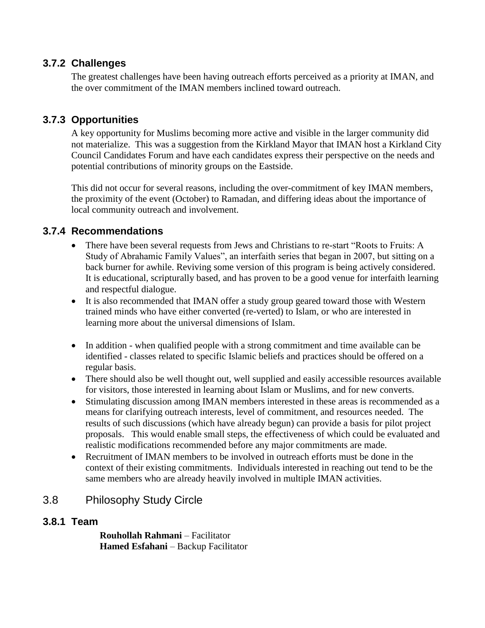#### **3.7.2 Challenges**

The greatest challenges have been having outreach efforts perceived as a priority at IMAN, and the over commitment of the IMAN members inclined toward outreach.

## **3.7.3 Opportunities**

A key opportunity for Muslims becoming more active and visible in the larger community did not materialize. This was a suggestion from the Kirkland Mayor that IMAN host a Kirkland City Council Candidates Forum and have each candidates express their perspective on the needs and potential contributions of minority groups on the Eastside.

This did not occur for several reasons, including the over-commitment of key IMAN members, the proximity of the event (October) to Ramadan, and differing ideas about the importance of local community outreach and involvement.

## **3.7.4 Recommendations**

- There have been several requests from Jews and Christians to re-start "Roots to Fruits: A Study of Abrahamic Family Values", an interfaith series that began in 2007, but sitting on a back burner for awhile. Reviving some version of this program is being actively considered. It is educational, scripturally based, and has proven to be a good venue for interfaith learning and respectful dialogue.
- It is also recommended that IMAN offer a study group geared toward those with Western trained minds who have either converted (re-verted) to Islam, or who are interested in learning more about the universal dimensions of Islam.
- In addition when qualified people with a strong commitment and time available can be identified - classes related to specific Islamic beliefs and practices should be offered on a regular basis.
- There should also be well thought out, well supplied and easily accessible resources available for visitors, those interested in learning about Islam or Muslims, and for new converts.
- Stimulating discussion among IMAN members interested in these areas is recommended as a means for clarifying outreach interests, level of commitment, and resources needed. The results of such discussions (which have already begun) can provide a basis for pilot project proposals. This would enable small steps, the effectiveness of which could be evaluated and realistic modifications recommended before any major commitments are made.
- Recruitment of IMAN members to be involved in outreach efforts must be done in the context of their existing commitments. Individuals interested in reaching out tend to be the same members who are already heavily involved in multiple IMAN activities.

## <span id="page-25-0"></span>3.8 Philosophy Study Circle

#### **3.8.1 Team**

**Rouhollah Rahmani** – Facilitator **Hamed Esfahani** – Backup Facilitator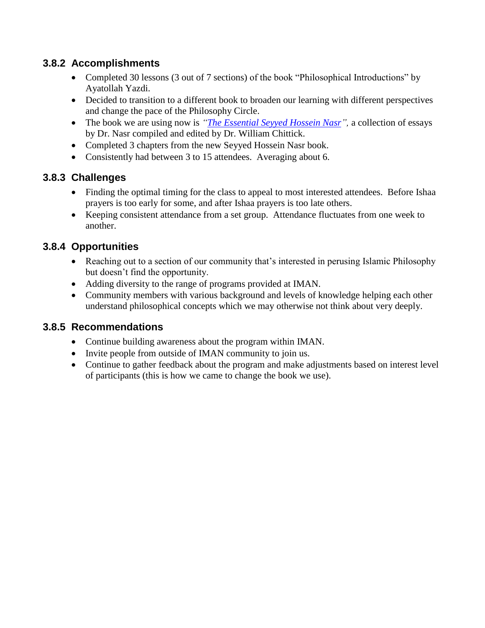## **3.8.2 Accomplishments**

- Completed 30 lessons (3 out of 7 sections) of the book "Philosophical Introductions" by Ayatollah Yazdi.
- Decided to transition to a different book to broaden our learning with different perspectives and change the pace of the Philosophy Circle.
- The book we are using now is *"The Essential Seyyed Hossein Nasr*", a collection of essays by Dr. Nasr compiled and edited by Dr. William Chittick.
- Completed 3 chapters from the new Seyyed Hossein Nasr book.
- Consistently had between 3 to 15 attendees. Averaging about 6.

## **3.8.3 Challenges**

- Finding the optimal timing for the class to appeal to most interested attendees. Before Ishaa prayers is too early for some, and after Ishaa prayers is too late others.
- Keeping consistent attendance from a set group. Attendance fluctuates from one week to another.

## **3.8.4 Opportunities**

- Reaching out to a section of our community that's interested in perusing Islamic Philosophy but doesn"t find the opportunity.
- Adding diversity to the range of programs provided at IMAN.
- Community members with various background and levels of knowledge helping each other understand philosophical concepts which we may otherwise not think about very deeply.

#### **3.8.5 Recommendations**

- Continue building awareness about the program within IMAN.
- Invite people from outside of IMAN community to join us.
- Continue to gather feedback about the program and make adjustments based on interest level of participants (this is how we came to change the book we use).